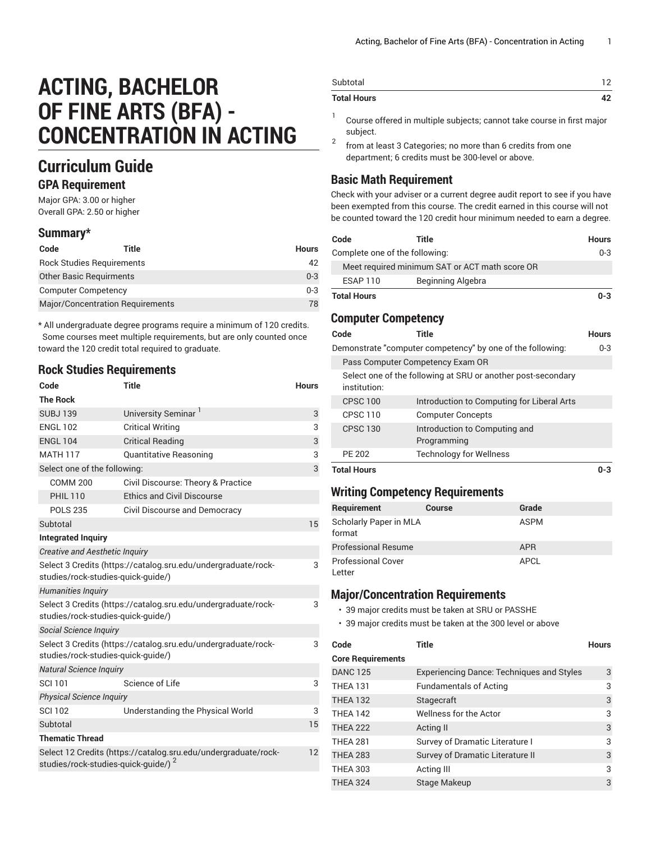# **ACTING, BACHELOR OF FINE ARTS (BFA) - CONCENTRATION IN ACTING**

# **Curriculum Guide**

#### **GPA Requirement**

Major GPA: 3.00 or higher Overall GPA: 2.50 or higher

#### **Summary\***

| Code                           | Title                                   | <b>Hours</b> |
|--------------------------------|-----------------------------------------|--------------|
|                                | <b>Rock Studies Requirements</b>        | 42           |
| <b>Other Basic Requirments</b> |                                         | $0 - 3$      |
| <b>Computer Competency</b>     |                                         | $0 - 3$      |
|                                | <b>Major/Concentration Requirements</b> | 78           |
|                                |                                         |              |

\* All undergraduate degree programs require a minimum of 120 credits. Some courses meet multiple requirements, but are only counted once toward the 120 credit total required to graduate.

#### **Rock Studies Requirements**

| Code                                                                                                | <b>Title</b>                                                   | <b>Hours</b> |
|-----------------------------------------------------------------------------------------------------|----------------------------------------------------------------|--------------|
| <b>The Rock</b>                                                                                     |                                                                |              |
| <b>SUBJ139</b>                                                                                      | University Seminar                                             | 3            |
| <b>ENGL 102</b>                                                                                     | <b>Critical Writing</b>                                        | 3            |
| <b>ENGL 104</b>                                                                                     | <b>Critical Reading</b>                                        | 3            |
| <b>MATH 117</b>                                                                                     | <b>Quantitative Reasoning</b>                                  | 3            |
| Select one of the following:                                                                        |                                                                | 3            |
| <b>COMM 200</b>                                                                                     | Civil Discourse: Theory & Practice                             |              |
| <b>PHIL 110</b>                                                                                     | <b>Ethics and Civil Discourse</b>                              |              |
| <b>POLS 235</b>                                                                                     | Civil Discourse and Democracy                                  |              |
| Subtotal                                                                                            |                                                                | 15           |
| <b>Integrated Inquiry</b>                                                                           |                                                                |              |
| <b>Creative and Aesthetic Inquiry</b>                                                               |                                                                |              |
| studies/rock-studies-quick-quide/)                                                                  | Select 3 Credits (https://catalog.sru.edu/undergraduate/rock-  | 3            |
| Humanities Inquiry                                                                                  |                                                                |              |
| studies/rock-studies-quick-quide/)                                                                  | Select 3 Credits (https://catalog.sru.edu/undergraduate/rock-  | 3            |
| Social Science Inquiry                                                                              |                                                                |              |
| Select 3 Credits (https://catalog.sru.edu/undergraduate/rock-<br>studies/rock-studies-quick-guide/) |                                                                | 3            |
| <b>Natural Science Inquiry</b>                                                                      |                                                                |              |
| <b>SCI 101</b>                                                                                      | Science of Life                                                | 3            |
| <b>Physical Science Inquiry</b>                                                                     |                                                                |              |
| <b>SCI 102</b>                                                                                      | Understanding the Physical World                               | 3            |
| Subtotal                                                                                            |                                                                | 15           |
| <b>Thematic Thread</b>                                                                              |                                                                |              |
| studies/rock-studies-quick-guide/) <sup>2</sup>                                                     | Select 12 Credits (https://catalog.sru.edu/undergraduate/rock- | 12           |

| Subtotal           | ר ו |
|--------------------|-----|
| <b>Total Hours</b> | ı   |

- 1 Course offered in multiple subjects; cannot take course in first major subject.
- 2 from at least 3 Categories; no more than 6 credits from one department; 6 credits must be 300-level or above.

# **Basic Math Requirement**

Check with your adviser or a current degree audit report to see if you have been exempted from this course. The credit earned in this course will not be counted toward the 120 credit hour minimum needed to earn a degree.

| Code                           | Title                                          | <b>Hours</b> |
|--------------------------------|------------------------------------------------|--------------|
| Complete one of the following: |                                                | $0 - 3$      |
|                                | Meet required minimum SAT or ACT math score OR |              |
| ESAP 110                       | Beginning Algebra                              |              |
| <b>Total Hours</b>             |                                                | $0 - 3$      |

## **Computer Competency**

| Code            | Title                                                        | <b>Hours</b> |
|-----------------|--------------------------------------------------------------|--------------|
|                 | Demonstrate "computer competency" by one of the following:   | $0 - 3$      |
|                 | Pass Computer Competency Exam OR                             |              |
| institution:    | Select one of the following at SRU or another post-secondary |              |
| <b>CPSC 100</b> | Introduction to Computing for Liberal Arts                   |              |
| <b>CPSC 110</b> | <b>Computer Concepts</b>                                     |              |
| <b>CPSC 130</b> | Introduction to Computing and<br>Programming                 |              |
| PE 202          | <b>Technology for Wellness</b>                               |              |
| Total Hours     |                                                              |              |

## **Writing Competency Requirements**

| Requirement                         | <b>Course</b> | Grade       |
|-------------------------------------|---------------|-------------|
| Scholarly Paper in MLA<br>format    |               | <b>ASPM</b> |
| <b>Professional Resume</b>          |               | <b>APR</b>  |
| <b>Professional Cover</b><br>Letter |               | APCL        |

## **Major/Concentration Requirements**

- 39 major credits must be taken at SRU or PASSHE
- 39 major credits must be taken at the 300 level or above

| Code                     | <b>Title</b>                                     | <b>Hours</b> |
|--------------------------|--------------------------------------------------|--------------|
| <b>Core Requirements</b> |                                                  |              |
| <b>DANC 125</b>          | <b>Experiencing Dance: Techniques and Styles</b> | 3            |
| THEA 131                 | <b>Fundamentals of Acting</b>                    | 3            |
| <b>THEA 132</b>          | Stagecraft                                       | 3            |
| <b>THEA 142</b>          | <b>Wellness for the Actor</b>                    | 3            |
| <b>THEA 222</b>          | Acting II                                        | 3            |
| <b>THEA 281</b>          | Survey of Dramatic Literature I                  | 3            |
| <b>THEA 283</b>          | Survey of Dramatic Literature II                 | 3            |
| <b>THEA 303</b>          | Acting III                                       | 3            |
| <b>THEA 324</b>          | Stage Makeup                                     | 3            |
|                          |                                                  |              |